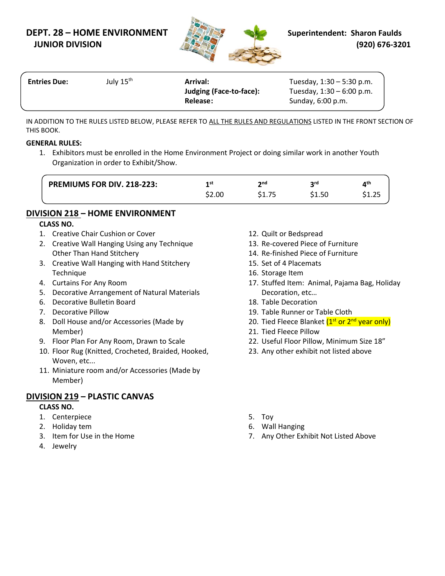## **DEPT. 28 – HOME ENVIRONMENT Superintendent: Sharon Faulds JUNIOR DIVISION (920) 676-3201**



| <b>Entries Due:</b> | July 15 <sup>th</sup> | <b>Arrival:</b><br>Judging (Face-to-face): | Tuesday, $1:30 - 5:30$ p.m.<br>Tuesday, $1:30 - 6:00$ p.m. |  |
|---------------------|-----------------------|--------------------------------------------|------------------------------------------------------------|--|
|                     |                       | Release:                                   | Sunday, 6:00 p.m.                                          |  |

IN ADDITION TO THE RULES LISTED BELOW, PLEASE REFER TO ALL THE RULES AND REGULATIONS LISTED IN THE FRONT SECTION OF THIS BOOK.

#### **GENERAL RULES:**

1. Exhibitors must be enrolled in the Home Environment Project or doing similar work in another Youth Organization in order to Exhibit/Show.

| <b>PREMIUMS FOR DIV. 218-223:</b> | 1 st<br>\$2.00 | <b>o</b> nd | <b>ord</b><br>\$1.50 | $\mathbf{A}^{\text{th}}$ |
|-----------------------------------|----------------|-------------|----------------------|--------------------------|
|                                   |                |             |                      |                          |

## **DIVISION 218 – HOME ENVIRONMENT**

#### **CLASS NO.**

- 1. Creative Chair Cushion or Cover
- 2. Creative Wall Hanging Using any Technique Other Than Hand Stitchery
- 3. Creative Wall Hanging with Hand Stitchery **Technique**
- 4. Curtains For Any Room
- 5. Decorative Arrangement of Natural Materials
- 6. Decorative Bulletin Board
- 7. Decorative Pillow
- 8. Doll House and/or Accessories (Made by Member)
- 9. Floor Plan For Any Room, Drawn to Scale
- 10. Floor Rug (Knitted, Crocheted, Braided, Hooked, Woven, etc...
- 11. Miniature room and/or Accessories (Made by Member)

## **DIVISION 219 – PLASTIC CANVAS**

#### **CLASS NO.**

- 1. Centerpiece
- 2. Holiday tem
- 3. Item for Use in the Home
- 4. Jewelry
- 12. Quilt or Bedspread
- 13. Re-covered Piece of Furniture
- 14. Re-finished Piece of Furniture
- 15. Set of 4 Placemats
- 16. Storage Item
- 17. Stuffed Item: Animal, Pajama Bag, Holiday Decoration, etc…
- 18. Table Decoration
- 19. Table Runner or Table Cloth
- 20. Tied Fleece Blanket (1<sup>st</sup> or 2<sup>nd</sup> year only)
- 21. Tied Fleece Pillow
- 22. Useful Floor Pillow, Minimum Size 18"
- 23. Any other exhibit not listed above
- 5. Toy
- 6. Wall Hanging
- 7. Any Other Exhibit Not Listed Above